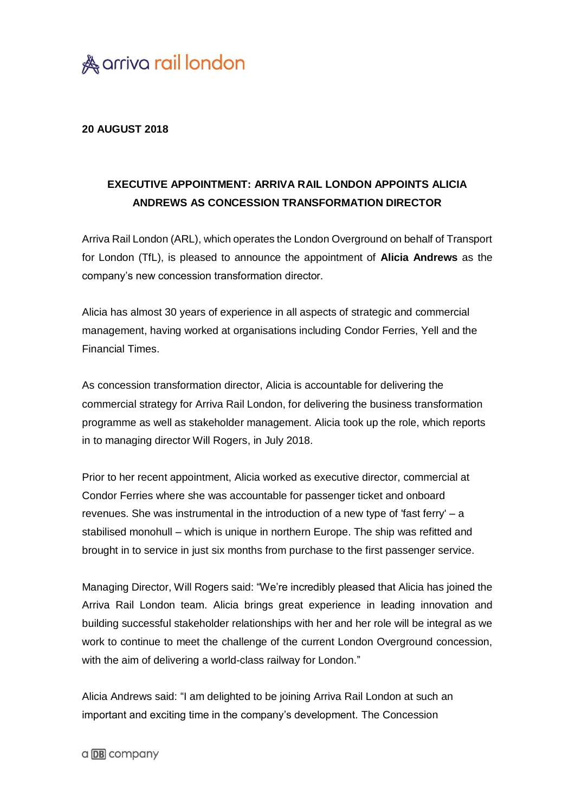

## **20 AUGUST 2018**

## **EXECUTIVE APPOINTMENT: ARRIVA RAIL LONDON APPOINTS ALICIA ANDREWS AS CONCESSION TRANSFORMATION DIRECTOR**

Arriva Rail London (ARL), which operates the London Overground on behalf of Transport for London (TfL), is pleased to announce the appointment of **Alicia Andrews** as the company's new concession transformation director.

Alicia has almost 30 years of experience in all aspects of strategic and commercial management, having worked at organisations including Condor Ferries, Yell and the Financial Times.

As concession transformation director, Alicia is accountable for delivering the commercial strategy for Arriva Rail London, for delivering the business transformation programme as well as stakeholder management. Alicia took up the role, which reports in to managing director Will Rogers, in July 2018.

Prior to her recent appointment, Alicia worked as executive director, commercial at Condor Ferries where she was accountable for passenger ticket and onboard revenues. She was instrumental in the introduction of a new type of 'fast ferry' – a stabilised monohull – which is unique in northern Europe. The ship was refitted and brought in to service in just six months from purchase to the first passenger service.

Managing Director, Will Rogers said: "We're incredibly pleased that Alicia has joined the Arriva Rail London team. Alicia brings great experience in leading innovation and building successful stakeholder relationships with her and her role will be integral as we work to continue to meet the challenge of the current London Overground concession, with the aim of delivering a world-class railway for London."

Alicia Andrews said: "I am delighted to be joining Arriva Rail London at such an important and exciting time in the company's development. The Concession